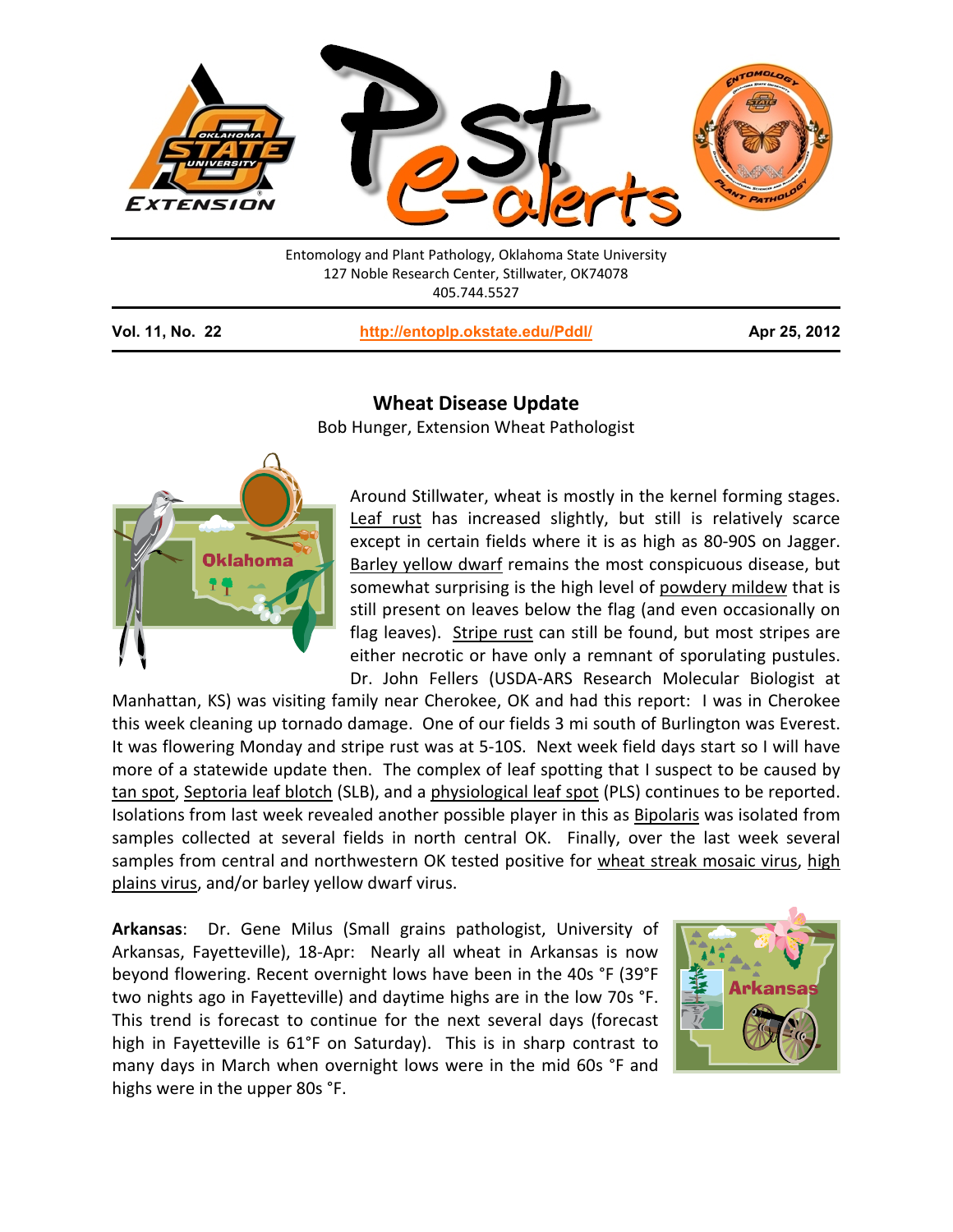

Entomology and Plant Pathology, Oklahoma State University 127 Noble Research Center, Stillwater, OK74078 405.744.5527

**Vol. 11, No. 22 <http://entoplp.okstate.edu/Pddl/> Apr 25, 2012**

## **Wheat Disease Update**

Bob Hunger, Extension Wheat Pathologist



Around Stillwater, wheat is mostly in the kernel forming stages. Leaf rust has increased slightly, but still is relatively scarce except in certain fields where it is as high as 80-90S on Jagger. Barley yellow dwarf remains the most conspicuous disease, but somewhat surprising is the high level of powdery mildew that is still present on leaves below the flag (and even occasionally on flag leaves). Stripe rust can still be found, but most stripes are either necrotic or have only a remnant of sporulating pustules. Dr. John Fellers (USDA-ARS Research Molecular Biologist at

Manhattan, KS) was visiting family near Cherokee, OK and had this report: I was in Cherokee this week cleaning up tornado damage. One of our fields 3 mi south of Burlington was Everest. It was flowering Monday and stripe rust was at 5-10S. Next week field days start so I will have more of a statewide update then. The complex of leaf spotting that I suspect to be caused by tan spot, Septoria leaf blotch (SLB), and a physiological leaf spot (PLS) continues to be reported. Isolations from last week revealed another possible player in this as Bipolaris was isolated from samples collected at several fields in north central OK. Finally, over the last week several samples from central and northwestern OK tested positive for wheat streak mosaic virus, high plains virus, and/or barley yellow dwarf virus.

**Arkansas**: Dr. Gene Milus (Small grains pathologist, University of Arkansas, Fayetteville), 18-Apr: Nearly all wheat in Arkansas is now beyond flowering. Recent overnight lows have been in the 40s °F (39°F two nights ago in Fayetteville) and daytime highs are in the low 70s °F. This trend is forecast to continue for the next several days (forecast high in Fayetteville is 61°F on Saturday). This is in sharp contrast to many days in March when overnight lows were in the mid 60s °F and highs were in the upper 80s °F.

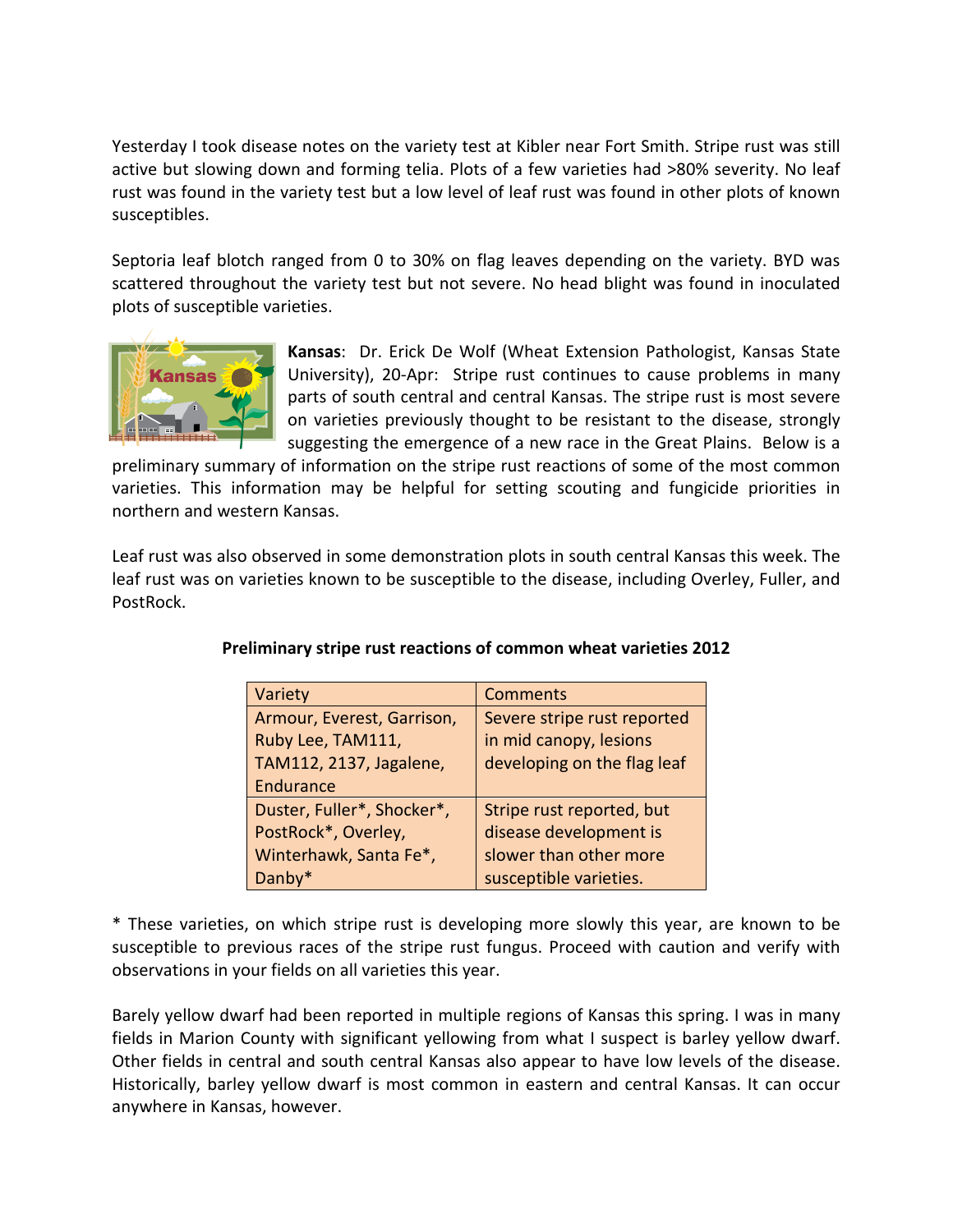Yesterday I took disease notes on the variety test at Kibler near Fort Smith. Stripe rust was still active but slowing down and forming telia. Plots of a few varieties had >80% severity. No leaf rust was found in the variety test but a low level of leaf rust was found in other plots of known susceptibles.

Septoria leaf blotch ranged from 0 to 30% on flag leaves depending on the variety. BYD was scattered throughout the variety test but not severe. No head blight was found in inoculated plots of susceptible varieties.



**Kansas**: Dr. Erick De Wolf (Wheat Extension Pathologist, Kansas State University), 20-Apr: Stripe rust continues to cause problems in many parts of south central and central Kansas. The stripe rust is most severe on varieties previously thought to be resistant to the disease, strongly suggesting the emergence of a new race in the Great Plains. Below is a

preliminary summary of information on the stripe rust reactions of some of the most common varieties. This information may be helpful for setting scouting and fungicide priorities in northern and western Kansas.

Leaf rust was also observed in some demonstration plots in south central Kansas this week. The leaf rust was on varieties known to be susceptible to the disease, including Overley, Fuller, and PostRock.

| Variety                    | <b>Comments</b>             |
|----------------------------|-----------------------------|
| Armour, Everest, Garrison, | Severe stripe rust reported |
| Ruby Lee, TAM111,          | in mid canopy, lesions      |
| TAM112, 2137, Jagalene,    | developing on the flag leaf |
| Endurance                  |                             |
| Duster, Fuller*, Shocker*, | Stripe rust reported, but   |
| PostRock*, Overley,        | disease development is      |
| Winterhawk, Santa Fe*,     | slower than other more      |
| Danby*                     | susceptible varieties.      |

## **Preliminary stripe rust reactions of common wheat varieties 2012**

\* These varieties, on which stripe rust is developing more slowly this year, are known to be susceptible to previous races of the stripe rust fungus. Proceed with caution and verify with observations in your fields on all varieties this year.

Barely yellow dwarf had been reported in multiple regions of Kansas this spring. I was in many fields in Marion County with significant yellowing from what I suspect is barley yellow dwarf. Other fields in central and south central Kansas also appear to have low levels of the disease. Historically, barley yellow dwarf is most common in eastern and central Kansas. It can occur anywhere in Kansas, however.